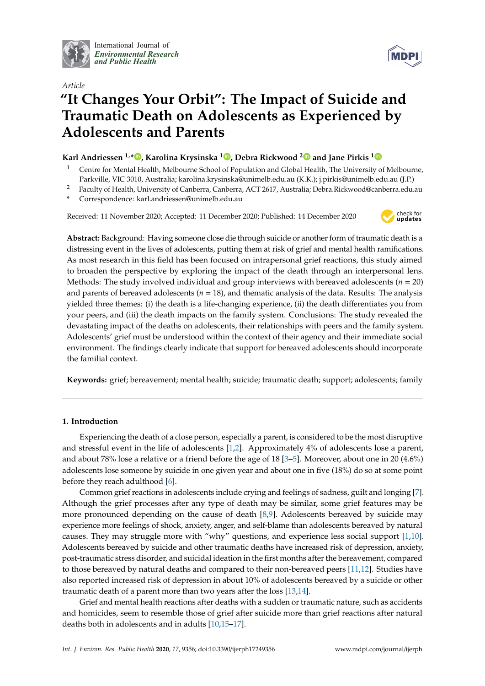

International Journal of *[Environmental Research](http://www.mdpi.com/journal/ijerph) and Public Health*



# *Article* **"It Changes Your Orbit": The Impact of Suicide and Traumatic Death on Adolescents as Experienced by Adolescents and Parents**

# **Karl Andriessen 1,\* [,](https://orcid.org/0000-0002-3107-1114) Karolina Krysinska <sup>1</sup> [,](https://orcid.org/0000-0002-7033-6904) Debra Rickwood [2](https://orcid.org/0000-0002-4227-0231) and Jane Pirkis [1](https://orcid.org/0000-0002-2538-4472)**

- <sup>1</sup> Centre for Mental Health, Melbourne School of Population and Global Health, The University of Melbourne, Parkville, VIC 3010, Australia; karolina.krysinska@unimelb.edu.au (K.K.); j.pirkis@unimelb.edu.au (J.P.)
- <sup>2</sup> Faculty of Health, University of Canberra, Canberra, ACT 2617, Australia; Debra.Rickwood@canberra.edu.au
- **\*** Correspondence: karl.andriessen@unimelb.edu.au

Received: 11 November 2020; Accepted: 11 December 2020; Published: 14 December 2020



**Abstract:** Background: Having someone close die through suicide or another form of traumatic death is a distressing event in the lives of adolescents, putting them at risk of grief and mental health ramifications. As most research in this field has been focused on intrapersonal grief reactions, this study aimed to broaden the perspective by exploring the impact of the death through an interpersonal lens. Methods: The study involved individual and group interviews with bereaved adolescents (*n* = 20) and parents of bereaved adolescents (*n* = 18), and thematic analysis of the data. Results: The analysis yielded three themes: (i) the death is a life-changing experience, (ii) the death differentiates you from your peers, and (iii) the death impacts on the family system. Conclusions: The study revealed the devastating impact of the deaths on adolescents, their relationships with peers and the family system. Adolescents' grief must be understood within the context of their agency and their immediate social environment. The findings clearly indicate that support for bereaved adolescents should incorporate the familial context.

**Keywords:** grief; bereavement; mental health; suicide; traumatic death; support; adolescents; family

## **1. Introduction**

Experiencing the death of a close person, especially a parent, is considered to be the most disruptive and stressful event in the life of adolescents [\[1,](#page-13-0)[2\]](#page-13-1). Approximately 4% of adolescents lose a parent, and about 78% lose a relative or a friend before the age of 18 [\[3](#page-13-2)[–5\]](#page-13-3). Moreover, about one in 20 (4.6%) adolescents lose someone by suicide in one given year and about one in five (18%) do so at some point before they reach adulthood [\[6\]](#page-13-4).

Common grief reactions in adolescents include crying and feelings of sadness, guilt and longing [\[7\]](#page-13-5). Although the grief processes after any type of death may be similar, some grief features may be more pronounced depending on the cause of death  $[8,9]$  $[8,9]$ . Adolescents bereaved by suicide may experience more feelings of shock, anxiety, anger, and self-blame than adolescents bereaved by natural causes. They may struggle more with "why" questions, and experience less social support [\[1,](#page-13-0)[10\]](#page-14-1). Adolescents bereaved by suicide and other traumatic deaths have increased risk of depression, anxiety, post-traumatic stress disorder, and suicidal ideation in the first months after the bereavement, compared to those bereaved by natural deaths and compared to their non-bereaved peers [\[11,](#page-14-2)[12\]](#page-14-3). Studies have also reported increased risk of depression in about 10% of adolescents bereaved by a suicide or other traumatic death of a parent more than two years after the loss [\[13](#page-14-4)[,14\]](#page-14-5).

Grief and mental health reactions after deaths with a sudden or traumatic nature, such as accidents and homicides, seem to resemble those of grief after suicide more than grief reactions after natural deaths both in adolescents and in adults [\[10](#page-14-1)[,15](#page-14-6)[–17\]](#page-14-7).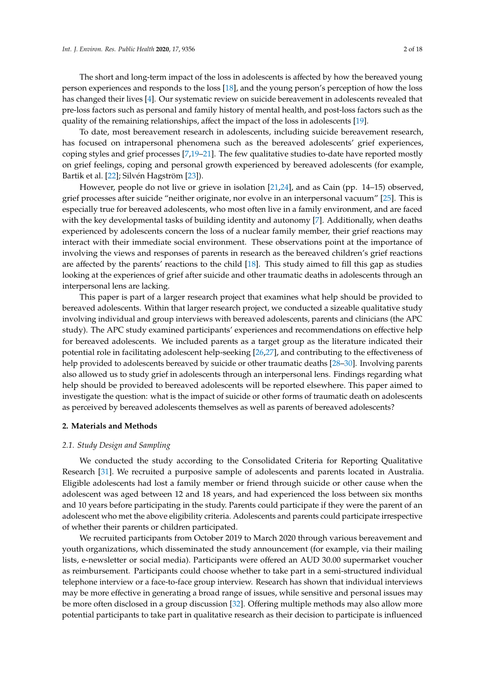The short and long-term impact of the loss in adolescents is affected by how the bereaved young person experiences and responds to the loss [\[18\]](#page-14-8), and the young person's perception of how the loss has changed their lives [\[4\]](#page-13-7). Our systematic review on suicide bereavement in adolescents revealed that pre-loss factors such as personal and family history of mental health, and post-loss factors such as the quality of the remaining relationships, affect the impact of the loss in adolescents [\[19\]](#page-14-9).

To date, most bereavement research in adolescents, including suicide bereavement research, has focused on intrapersonal phenomena such as the bereaved adolescents' grief experiences, coping styles and grief processes [\[7](#page-13-5)[,19](#page-14-9)[–21\]](#page-14-10). The few qualitative studies to-date have reported mostly on grief feelings, coping and personal growth experienced by bereaved adolescents (for example, Bartik et al. [\[22\]](#page-14-11); Silvén Hagström [\[23\]](#page-14-12)).

However, people do not live or grieve in isolation [\[21](#page-14-10)[,24\]](#page-14-13), and as Cain (pp. 14–15) observed, grief processes after suicide "neither originate, nor evolve in an interpersonal vacuum" [\[25\]](#page-14-14). This is especially true for bereaved adolescents, who most often live in a family environment, and are faced with the key developmental tasks of building identity and autonomy [\[7\]](#page-13-5). Additionally, when deaths experienced by adolescents concern the loss of a nuclear family member, their grief reactions may interact with their immediate social environment. These observations point at the importance of involving the views and responses of parents in research as the bereaved children's grief reactions are affected by the parents' reactions to the child [\[18\]](#page-14-8). This study aimed to fill this gap as studies looking at the experiences of grief after suicide and other traumatic deaths in adolescents through an interpersonal lens are lacking.

This paper is part of a larger research project that examines what help should be provided to bereaved adolescents. Within that larger research project, we conducted a sizeable qualitative study involving individual and group interviews with bereaved adolescents, parents and clinicians (the APC study). The APC study examined participants' experiences and recommendations on effective help for bereaved adolescents. We included parents as a target group as the literature indicated their potential role in facilitating adolescent help-seeking [\[26](#page-14-15)[,27\]](#page-14-16), and contributing to the effectiveness of help provided to adolescents bereaved by suicide or other traumatic deaths [\[28–](#page-14-17)[30\]](#page-14-18). Involving parents also allowed us to study grief in adolescents through an interpersonal lens. Findings regarding what help should be provided to bereaved adolescents will be reported elsewhere. This paper aimed to investigate the question: what is the impact of suicide or other forms of traumatic death on adolescents as perceived by bereaved adolescents themselves as well as parents of bereaved adolescents?

#### **2. Materials and Methods**

#### *2.1. Study Design and Sampling*

We conducted the study according to the Consolidated Criteria for Reporting Qualitative Research [\[31\]](#page-14-19). We recruited a purposive sample of adolescents and parents located in Australia. Eligible adolescents had lost a family member or friend through suicide or other cause when the adolescent was aged between 12 and 18 years, and had experienced the loss between six months and 10 years before participating in the study. Parents could participate if they were the parent of an adolescent who met the above eligibility criteria. Adolescents and parents could participate irrespective of whether their parents or children participated.

We recruited participants from October 2019 to March 2020 through various bereavement and youth organizations, which disseminated the study announcement (for example, via their mailing lists, e-newsletter or social media). Participants were offered an AUD 30.00 supermarket voucher as reimbursement. Participants could choose whether to take part in a semi-structured individual telephone interview or a face-to-face group interview. Research has shown that individual interviews may be more effective in generating a broad range of issues, while sensitive and personal issues may be more often disclosed in a group discussion [\[32\]](#page-15-0). Offering multiple methods may also allow more potential participants to take part in qualitative research as their decision to participate is influenced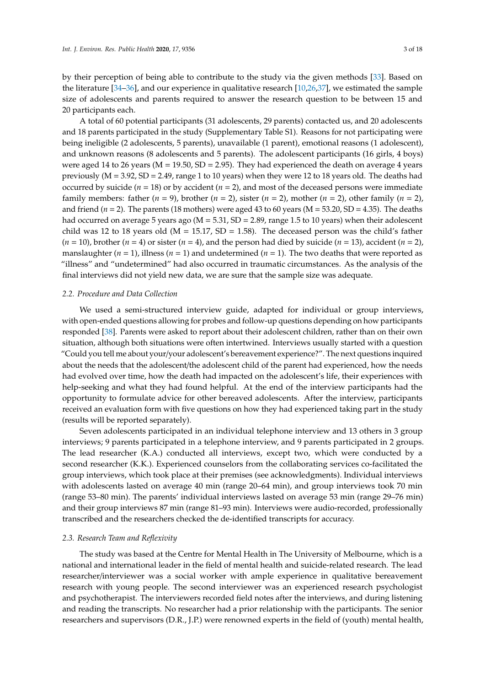by their perception of being able to contribute to the study via the given methods [\[33\]](#page-15-1). Based on the literature [\[34–](#page-15-2)[36\]](#page-15-3), and our experience in qualitative research [\[10,](#page-14-1)[26,](#page-14-15)[37\]](#page-15-4), we estimated the sample size of adolescents and parents required to answer the research question to be between 15 and 20 participants each.

A total of 60 potential participants (31 adolescents, 29 parents) contacted us, and 20 adolescents and 18 parents participated in the study (Supplementary Table S1). Reasons for not participating were being ineligible (2 adolescents, 5 parents), unavailable (1 parent), emotional reasons (1 adolescent), and unknown reasons (8 adolescents and 5 parents). The adolescent participants (16 girls, 4 boys) were aged 14 to 26 years ( $M = 19.50$ ,  $SD = 2.95$ ). They had experienced the death on average 4 years previously (M = 3.92, SD = 2.49, range 1 to 10 years) when they were 12 to 18 years old. The deaths had occurred by suicide ( $n = 18$ ) or by accident ( $n = 2$ ), and most of the deceased persons were immediate family members: father  $(n = 9)$ , brother  $(n = 2)$ , sister  $(n = 2)$ , mother  $(n = 2)$ , other family  $(n = 2)$ , and friend ( $n = 2$ ). The parents (18 mothers) were aged 43 to 60 years ( $M = 53.20$ ,  $SD = 4.35$ ). The deaths had occurred on average 5 years ago ( $M = 5.31$ ,  $SD = 2.89$ , range 1.5 to 10 years) when their adolescent child was 12 to 18 years old ( $M = 15.17$ , SD = 1.58). The deceased person was the child's father  $(n = 10)$ , brother  $(n = 4)$  or sister  $(n = 4)$ , and the person had died by suicide  $(n = 13)$ , accident  $(n = 2)$ , manslaughter  $(n = 1)$ , illness  $(n = 1)$  and undetermined  $(n = 1)$ . The two deaths that were reported as "illness" and "undetermined" had also occurred in traumatic circumstances. As the analysis of the final interviews did not yield new data, we are sure that the sample size was adequate.

#### *2.2. Procedure and Data Collection*

We used a semi-structured interview guide, adapted for individual or group interviews, with open-ended questions allowing for probes and follow-up questions depending on how participants responded [\[38\]](#page-15-5). Parents were asked to report about their adolescent children, rather than on their own situation, although both situations were often intertwined. Interviews usually started with a question "Could you tell me about your/your adolescent's bereavement experience?". The next questions inquired about the needs that the adolescent/the adolescent child of the parent had experienced, how the needs had evolved over time, how the death had impacted on the adolescent's life, their experiences with help-seeking and what they had found helpful. At the end of the interview participants had the opportunity to formulate advice for other bereaved adolescents. After the interview, participants received an evaluation form with five questions on how they had experienced taking part in the study (results will be reported separately).

Seven adolescents participated in an individual telephone interview and 13 others in 3 group interviews; 9 parents participated in a telephone interview, and 9 parents participated in 2 groups. The lead researcher (K.A.) conducted all interviews, except two, which were conducted by a second researcher (K.K.). Experienced counselors from the collaborating services co-facilitated the group interviews, which took place at their premises (see acknowledgments). Individual interviews with adolescents lasted on average 40 min (range 20–64 min), and group interviews took 70 min (range 53–80 min). The parents' individual interviews lasted on average 53 min (range 29–76 min) and their group interviews 87 min (range 81–93 min). Interviews were audio-recorded, professionally transcribed and the researchers checked the de-identified transcripts for accuracy.

## *2.3. Research Team and Reflexivity*

The study was based at the Centre for Mental Health in The University of Melbourne, which is a national and international leader in the field of mental health and suicide-related research. The lead researcher/interviewer was a social worker with ample experience in qualitative bereavement research with young people. The second interviewer was an experienced research psychologist and psychotherapist. The interviewers recorded field notes after the interviews, and during listening and reading the transcripts. No researcher had a prior relationship with the participants. The senior researchers and supervisors (D.R., J.P.) were renowned experts in the field of (youth) mental health,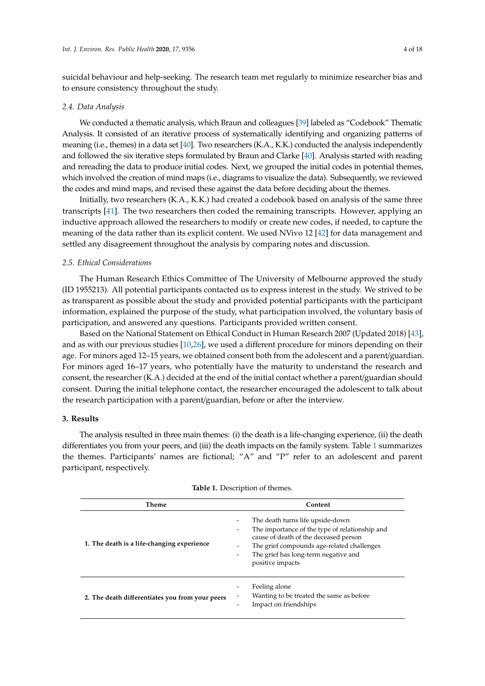suicidal behaviour and help-seeking. The research team met regularly to minimize researcher bias and to ensure consistency throughout the study.

#### *2.4. Data Analysis*

We conducted a thematic analysis, which Braun and colleagues [\[39\]](#page-15-6) labeled as "Codebook" Thematic Analysis. It consisted of an iterative process of systematically identifying and organizing patterns of meaning (i.e., themes) in a data set [\[40\]](#page-15-7). Two researchers (K.A., K.K.) conducted the analysis independently and followed the six iterative steps formulated by Braun and Clarke [\[40\]](#page-15-7). Analysis started with reading and rereading the data to produce initial codes. Next, we grouped the initial codes in potential themes, which involved the creation of mind maps (i.e., diagrams to visualize the data). Subsequently, we reviewed the codes and mind maps, and revised these against the data before deciding about the themes.

Initially, two researchers (K.A., K.K.) had created a codebook based on analysis of the same three transcripts [\[41\]](#page-15-8). The two researchers then coded the remaining transcripts. However, applying an inductive approach allowed the researchers to modify or create new codes, if needed, to capture the meaning of the data rather than its explicit content. We used NVivo 12 [\[42\]](#page-15-9) for data management and settled any disagreement throughout the analysis by comparing notes and discussion.

## *2.5. Ethical Considerations*

The Human Research Ethics Committee of The University of Melbourne approved the study (ID 1955213). All potential participants contacted us to express interest in the study. We strived to be as transparent as possible about the study and provided potential participants with the participant information, explained the purpose of the study, what participation involved, the voluntary basis of participation, and answered any questions. Participants provided written consent.

Based on the National Statement on Ethical Conduct in Human Research 2007 (Updated 2018) [\[43\]](#page-15-10), and as with our previous studies [\[10,](#page-14-1)[26\]](#page-14-15), we used a different procedure for minors depending on their age. For minors aged 12–15 years, we obtained consent both from the adolescent and a parent/guardian. For minors aged 16–17 years, who potentially have the maturity to understand the research and consent, the researcher (K.A.) decided at the end of the initial contact whether a parent/guardian should consent. During the initial telephone contact, the researcher encouraged the adolescent to talk about the research participation with a parent/guardian, before or after the interview.

## **3. Results**

The analysis resulted in three main themes: (i) the death is a life-changing experience, (ii) the death differentiates you from your peers, and (iii) the death impacts on the family system. Table [1](#page-4-0) summarizes the themes. Participants' names are fictional; "A" and "P" refer to an adolescent and parent participant, respectively.

| Theme                                           | Content                                                                                                                                                                                                                               |
|-------------------------------------------------|---------------------------------------------------------------------------------------------------------------------------------------------------------------------------------------------------------------------------------------|
| 1. The death is a life-changing experience      | The death turns life upside-down<br>The importance of the type of relationship and<br>cause of death of the deceased person<br>The grief compounds age-related challenges<br>The grief has long-term negative and<br>positive impacts |
| 2. The death differentiates you from your peers | Feeling alone<br>Wanting to be treated the same as before<br>Impact on friendships<br>$\overline{\phantom{0}}$                                                                                                                        |

**Table 1.** Description of themes.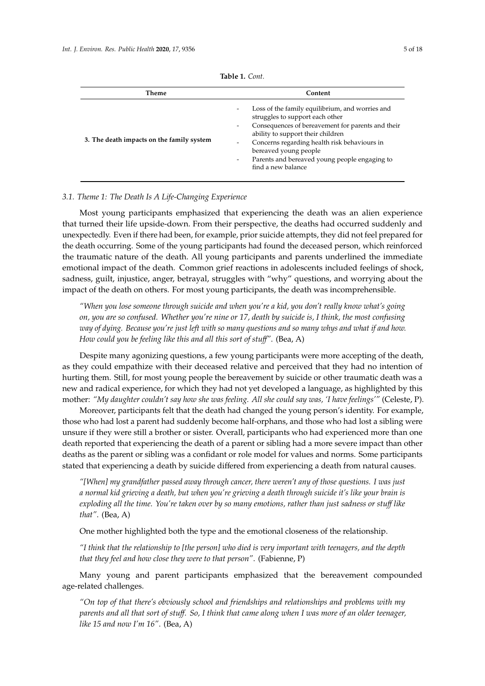<span id="page-4-0"></span>

| Theme                                     | Content                                                                                                                                                                                                                                                                                                                                                  |
|-------------------------------------------|----------------------------------------------------------------------------------------------------------------------------------------------------------------------------------------------------------------------------------------------------------------------------------------------------------------------------------------------------------|
| 3. The death impacts on the family system | Loss of the family equilibrium, and worries and<br>struggles to support each other<br>Consequences of bereavement for parents and their<br>ability to support their children<br>Concerns regarding health risk behaviours in<br>bereaved young people<br>Parents and bereaved young people engaging to<br>$\overline{\phantom{a}}$<br>find a new balance |

**Table 1.** *Cont.*

## *3.1. Theme 1: The Death Is A Life-Changing Experience*

Most young participants emphasized that experiencing the death was an alien experience that turned their life upside-down. From their perspective, the deaths had occurred suddenly and unexpectedly. Even if there had been, for example, prior suicide attempts, they did not feel prepared for the death occurring. Some of the young participants had found the deceased person, which reinforced the traumatic nature of the death. All young participants and parents underlined the immediate emotional impact of the death. Common grief reactions in adolescents included feelings of shock, sadness, guilt, injustice, anger, betrayal, struggles with "why" questions, and worrying about the impact of the death on others. For most young participants, the death was incomprehensible.

*"When you lose someone through suicide and when you're a kid, you don't really know what's going on, you are so confused. Whether you're nine or 17, death by suicide is, I think, the most confusing way of dying. Because you're just left with so many questions and so many whys and what if and how. How could you be feeling like this and all this sort of stu*ff*"*. (Bea, A)

Despite many agonizing questions, a few young participants were more accepting of the death, as they could empathize with their deceased relative and perceived that they had no intention of hurting them. Still, for most young people the bereavement by suicide or other traumatic death was a new and radical experience, for which they had not yet developed a language, as highlighted by this mother: *"My daughter couldn't say how she was feeling. All she could say was, 'I have feelings'"* (Celeste, P).

Moreover, participants felt that the death had changed the young person's identity. For example, those who had lost a parent had suddenly become half-orphans, and those who had lost a sibling were unsure if they were still a brother or sister. Overall, participants who had experienced more than one death reported that experiencing the death of a parent or sibling had a more severe impact than other deaths as the parent or sibling was a confidant or role model for values and norms. Some participants stated that experiencing a death by suicide differed from experiencing a death from natural causes.

*"[When] my grandfather passed away through cancer, there weren't any of those questions. I was just a normal kid grieving a death, but when you're grieving a death through suicide it's like your brain is exploding all the time. You're taken over by so many emotions, rather than just sadness or stu*ff *like that"*. (Bea, A)

One mother highlighted both the type and the emotional closeness of the relationship.

*"I think that the relationship to [the person] who died is very important with teenagers, and the depth that they feel and how close they were to that person"*. (Fabienne, P)

Many young and parent participants emphasized that the bereavement compounded age-related challenges.

*"On top of that there's obviously school and friendships and relationships and problems with my parents and all that sort of stu*ff*. So, I think that came along when I was more of an older teenager, like 15 and now I'm 16"*. (Bea, A)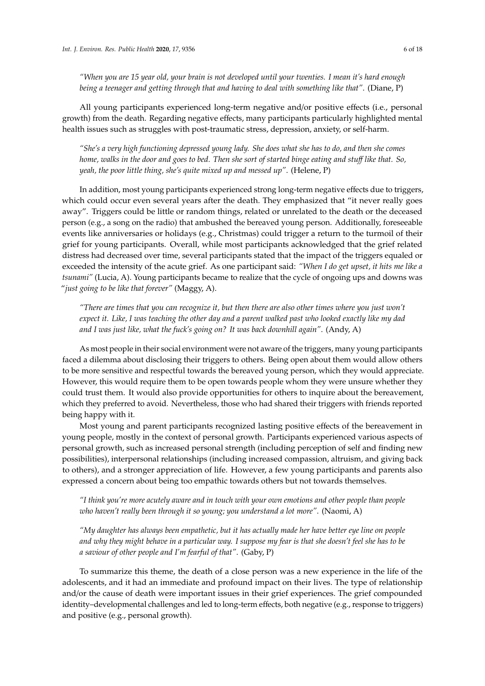*"When you are 15 year old, your brain is not developed until your twenties. I mean it's hard enough being a teenager and getting through that and having to deal with something like that"*. (Diane, P)

All young participants experienced long-term negative and/or positive effects (i.e., personal growth) from the death. Regarding negative effects, many participants particularly highlighted mental health issues such as struggles with post-traumatic stress, depression, anxiety, or self-harm.

*"She's a very high functioning depressed young lady. She does what she has to do, and then she comes home, walks in the door and goes to bed. Then she sort of started binge eating and stu*ff *like that. So, yeah, the poor little thing, she's quite mixed up and messed up"*. (Helene, P)

In addition, most young participants experienced strong long-term negative effects due to triggers, which could occur even several years after the death. They emphasized that "it never really goes away". Triggers could be little or random things, related or unrelated to the death or the deceased person (e.g., a song on the radio) that ambushed the bereaved young person. Additionally, foreseeable events like anniversaries or holidays (e.g., Christmas) could trigger a return to the turmoil of their grief for young participants. Overall, while most participants acknowledged that the grief related distress had decreased over time, several participants stated that the impact of the triggers equaled or exceeded the intensity of the acute grief. As one participant said: *"When I do get upset, it hits me like a tsunami"* (Lucia, A). Young participants became to realize that the cycle of ongoing ups and downs was "*just going to be like that forever"* (Maggy, A).

*"There are times that you can recognize it, but then there are also other times where you just won't expect it. Like, I was teaching the other day and a parent walked past who looked exactly like my dad and I was just like, what the fuck's going on? It was back downhill again"*. (Andy, A)

As most people in their social environment were not aware of the triggers, many young participants faced a dilemma about disclosing their triggers to others. Being open about them would allow others to be more sensitive and respectful towards the bereaved young person, which they would appreciate. However, this would require them to be open towards people whom they were unsure whether they could trust them. It would also provide opportunities for others to inquire about the bereavement, which they preferred to avoid. Nevertheless, those who had shared their triggers with friends reported being happy with it.

Most young and parent participants recognized lasting positive effects of the bereavement in young people, mostly in the context of personal growth. Participants experienced various aspects of personal growth, such as increased personal strength (including perception of self and finding new possibilities), interpersonal relationships (including increased compassion, altruism, and giving back to others), and a stronger appreciation of life. However, a few young participants and parents also expressed a concern about being too empathic towards others but not towards themselves.

*"I think you're more acutely aware and in touch with your own emotions and other people than people who haven't really been through it so young; you understand a lot more"*. (Naomi, A)

*"My daughter has always been empathetic, but it has actually made her have better eye line on people and why they might behave in a particular way. I suppose my fear is that she doesn't feel she has to be a saviour of other people and I'm fearful of that"*. (Gaby, P)

To summarize this theme, the death of a close person was a new experience in the life of the adolescents, and it had an immediate and profound impact on their lives. The type of relationship and/or the cause of death were important issues in their grief experiences. The grief compounded identity–developmental challenges and led to long-term effects, both negative (e.g., response to triggers) and positive (e.g., personal growth).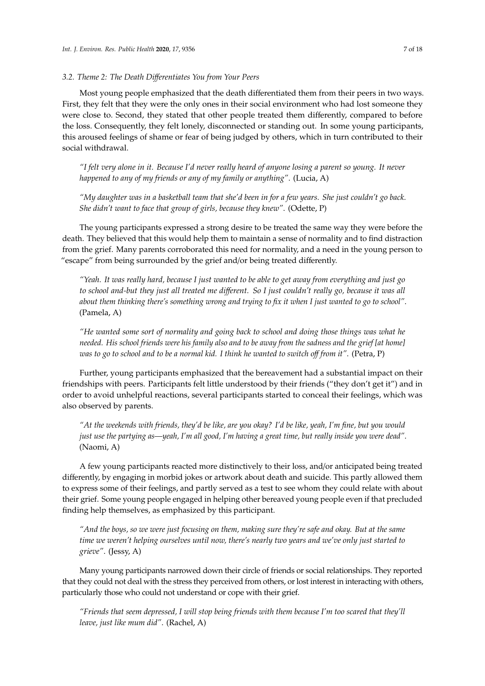#### *3.2. Theme 2: The Death Di*ff*erentiates You from Your Peers*

Most young people emphasized that the death differentiated them from their peers in two ways. First, they felt that they were the only ones in their social environment who had lost someone they were close to. Second, they stated that other people treated them differently, compared to before the loss. Consequently, they felt lonely, disconnected or standing out. In some young participants, this aroused feelings of shame or fear of being judged by others, which in turn contributed to their social withdrawal.

*"I felt very alone in it. Because I'd never really heard of anyone losing a parent so young. It never happened to any of my friends or any of my family or anything"*. (Lucia, A)

*"My daughter was in a basketball team that she'd been in for a few years. She just couldn't go back. She didn't want to face that group of girls, because they knew"*. (Odette, P)

The young participants expressed a strong desire to be treated the same way they were before the death. They believed that this would help them to maintain a sense of normality and to find distraction from the grief. Many parents corroborated this need for normality, and a need in the young person to "escape" from being surrounded by the grief and/or being treated differently.

*"Yeah. It was really hard, because I just wanted to be able to get away from everything and just go to school and-but they just all treated me di*ff*erent. So I just couldn't really go, because it was all about them thinking there's something wrong and trying to fix it when I just wanted to go to school"*. (Pamela, A)

*"He wanted some sort of normality and going back to school and doing those things was what he needed. His school friends were his family also and to be away from the sadness and the grief [at home] was to go to school and to be a normal kid. I think he wanted to switch o*ff *from it"*. (Petra, P)

Further, young participants emphasized that the bereavement had a substantial impact on their friendships with peers. Participants felt little understood by their friends ("they don't get it") and in order to avoid unhelpful reactions, several participants started to conceal their feelings, which was also observed by parents.

*"At the weekends with friends, they'd be like, are you okay? I'd be like, yeah, I'm fine, but you would just use the partying as—yeah, I'm all good, I'm having a great time, but really inside you were dead"*. (Naomi, A)

A few young participants reacted more distinctively to their loss, and/or anticipated being treated differently, by engaging in morbid jokes or artwork about death and suicide. This partly allowed them to express some of their feelings, and partly served as a test to see whom they could relate with about their grief. Some young people engaged in helping other bereaved young people even if that precluded finding help themselves, as emphasized by this participant.

*"And the boys, so we were just focusing on them, making sure they're safe and okay. But at the same time we weren't helping ourselves until now, there's nearly two years and we've only just started to grieve"*. (Jessy, A)

Many young participants narrowed down their circle of friends or social relationships. They reported that they could not deal with the stress they perceived from others, or lost interest in interacting with others, particularly those who could not understand or cope with their grief.

*"Friends that seem depressed, I will stop being friends with them because I'm too scared that they'll leave, just like mum did"*. (Rachel, A)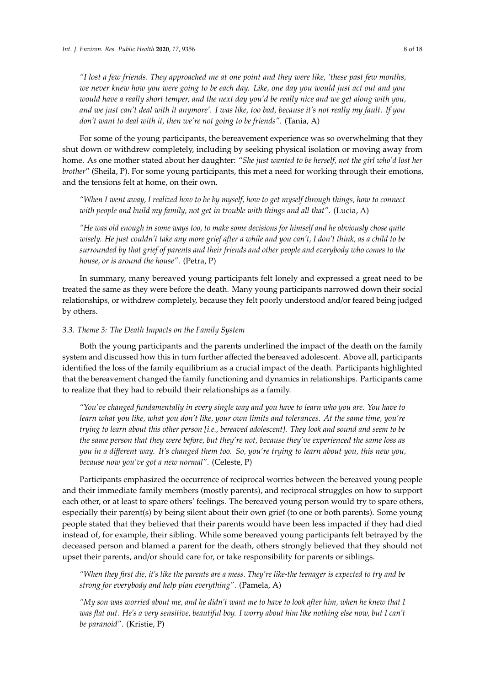*"I lost a few friends. They approached me at one point and they were like, 'these past few months, we never knew how you were going to be each day. Like, one day you would just act out and you would have a really short temper, and the next day you'd be really nice and we get along with you, and we just can't deal with it anymore'. I was like, too bad, because it's not really my fault. If you don't want to deal with it, then we're not going to be friends"*. (Tania, A)

For some of the young participants, the bereavement experience was so overwhelming that they shut down or withdrew completely, including by seeking physical isolation or moving away from home. As one mother stated about her daughter: "*She just wanted to be herself, not the girl who'd lost her brother*" (Sheila, P). For some young participants, this met a need for working through their emotions, and the tensions felt at home, on their own.

*"When I went away, I realized how to be by myself, how to get myself through things, how to connect with people and build my family, not get in trouble with things and all that"*. (Lucia, A)

*"He was old enough in some ways too, to make some decisions for himself and he obviously chose quite wisely. He just couldn't take any more grief after a while and you can't, I don't think, as a child to be surrounded by that grief of parents and their friends and other people and everybody who comes to the house, or is around the house"*. (Petra, P)

In summary, many bereaved young participants felt lonely and expressed a great need to be treated the same as they were before the death. Many young participants narrowed down their social relationships, or withdrew completely, because they felt poorly understood and/or feared being judged by others.

#### *3.3. Theme 3: The Death Impacts on the Family System*

Both the young participants and the parents underlined the impact of the death on the family system and discussed how this in turn further affected the bereaved adolescent. Above all, participants identified the loss of the family equilibrium as a crucial impact of the death. Participants highlighted that the bereavement changed the family functioning and dynamics in relationships. Participants came to realize that they had to rebuild their relationships as a family.

*"You've changed fundamentally in every single way and you have to learn who you are. You have to learn what you like, what you don't like, your own limits and tolerances. At the same time, you're trying to learn about this other person [i.e., bereaved adolescent]. They look and sound and seem to be the same person that they were before, but they're not, because they've experienced the same loss as you in a di*ff*erent way. It's changed them too. So, you're trying to learn about you, this new you, because now you've got a new normal"*. (Celeste, P)

Participants emphasized the occurrence of reciprocal worries between the bereaved young people and their immediate family members (mostly parents), and reciprocal struggles on how to support each other, or at least to spare others' feelings. The bereaved young person would try to spare others, especially their parent(s) by being silent about their own grief (to one or both parents). Some young people stated that they believed that their parents would have been less impacted if they had died instead of, for example, their sibling. While some bereaved young participants felt betrayed by the deceased person and blamed a parent for the death, others strongly believed that they should not upset their parents, and/or should care for, or take responsibility for parents or siblings.

*"When they first die, it's like the parents are a mess. They're like-the teenager is expected to try and be strong for everybody and help plan everything"*. (Pamela, A)

*"My son was worried about me, and he didn't want me to have to look after him, when he knew that I was flat out. He's a very sensitive, beautiful boy. I worry about him like nothing else now, but I can't be paranoid"*. (Kristie, P)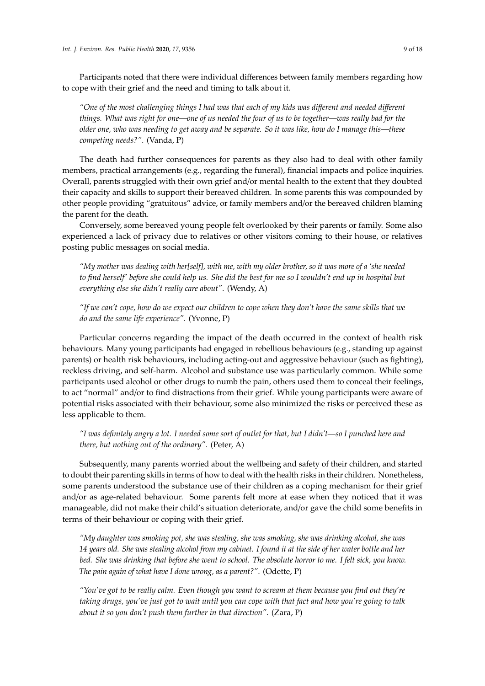Participants noted that there were individual differences between family members regarding how to cope with their grief and the need and timing to talk about it.

*"One of the most challenging things I had was that each of my kids was di*ff*erent and needed di*ff*erent things. What was right for one—one of us needed the four of us to be together—was really bad for the older one, who was needing to get away and be separate. So it was like, how do I manage this—these competing needs?"*. (Vanda, P)

The death had further consequences for parents as they also had to deal with other family members, practical arrangements (e.g., regarding the funeral), financial impacts and police inquiries. Overall, parents struggled with their own grief and/or mental health to the extent that they doubted their capacity and skills to support their bereaved children. In some parents this was compounded by other people providing "gratuitous" advice, or family members and/or the bereaved children blaming the parent for the death.

Conversely, some bereaved young people felt overlooked by their parents or family. Some also experienced a lack of privacy due to relatives or other visitors coming to their house, or relatives posting public messages on social media.

*"My mother was dealing with her[self], with me, with my older brother, so it was more of a 'she needed to find herself' before she could help us. She did the best for me so I wouldn't end up in hospital but everything else she didn't really care about"*. (Wendy, A)

*"If we can't cope, how do we expect our children to cope when they don't have the same skills that we do and the same life experience"*. (Yvonne, P)

Particular concerns regarding the impact of the death occurred in the context of health risk behaviours. Many young participants had engaged in rebellious behaviours (e.g., standing up against parents) or health risk behaviours, including acting-out and aggressive behaviour (such as fighting), reckless driving, and self-harm. Alcohol and substance use was particularly common. While some participants used alcohol or other drugs to numb the pain, others used them to conceal their feelings, to act "normal" and/or to find distractions from their grief. While young participants were aware of potential risks associated with their behaviour, some also minimized the risks or perceived these as less applicable to them.

*"I was definitely angry a lot. I needed some sort of outlet for that, but I didn't—so I punched here and there, but nothing out of the ordinary"*. (Peter, A)

Subsequently, many parents worried about the wellbeing and safety of their children, and started to doubt their parenting skills in terms of how to deal with the health risks in their children. Nonetheless, some parents understood the substance use of their children as a coping mechanism for their grief and/or as age-related behaviour. Some parents felt more at ease when they noticed that it was manageable, did not make their child's situation deteriorate, and/or gave the child some benefits in terms of their behaviour or coping with their grief.

*"My daughter was smoking pot, she was stealing, she was smoking, she was drinking alcohol, she was 14 years old. She was stealing alcohol from my cabinet. I found it at the side of her water bottle and her bed. She was drinking that before she went to school. The absolute horror to me. I felt sick, you know. The pain again of what have I done wrong, as a parent?"*. (Odette, P)

*"You've got to be really calm. Even though you want to scream at them because you find out they're taking drugs, you've just got to wait until you can cope with that fact and how you're going to talk about it so you don't push them further in that direction"*. (Zara, P)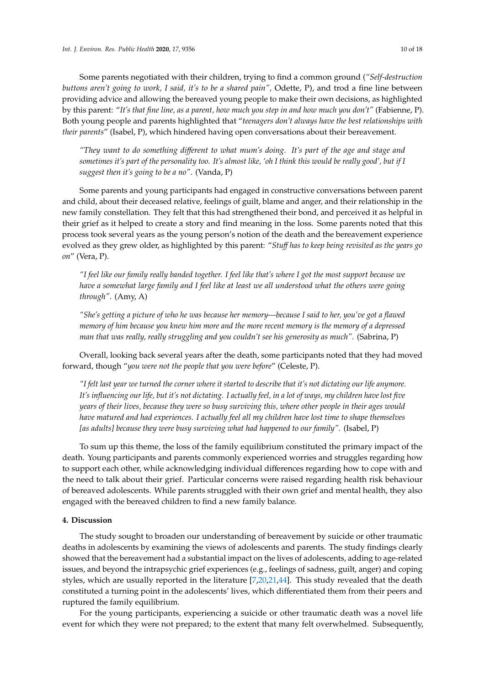Some parents negotiated with their children, trying to find a common ground (*"Self-destruction buttons aren't going to work, I said, it's to be a shared pain",* Odette, P), and trod a fine line between providing advice and allowing the bereaved young people to make their own decisions, as highlighted by this parent: "*It's that fine line, as a parent, how much you step in and how much you don't"* (Fabienne, P). Both young people and parents highlighted that "*teenagers don't always have the best relationships with their parents*" (Isabel, P), which hindered having open conversations about their bereavement.

*"They want to do something di*ff*erent to what mum's doing. It's part of the age and stage and sometimes it's part of the personality too. It's almost like, 'oh I think this would be really good', but if I suggest then it's going to be a no"*. (Vanda, P)

Some parents and young participants had engaged in constructive conversations between parent and child, about their deceased relative, feelings of guilt, blame and anger, and their relationship in the new family constellation. They felt that this had strengthened their bond, and perceived it as helpful in their grief as it helped to create a story and find meaning in the loss. Some parents noted that this process took several years as the young person's notion of the death and the bereavement experience evolved as they grew older, as highlighted by this parent: "*Stu*ff *has to keep being revisited as the years go on*" (Vera, P).

*"I feel like our family really banded together. I feel like that's where I got the most support because we have a somewhat large family and I feel like at least we all understood what the others were going through"*. (Amy, A)

*"She's getting a picture of who he was because her memory—because I said to her, you've got a flawed memory of him because you knew him more and the more recent memory is the memory of a depressed man that was really, really struggling and you couldn't see his generosity as much"*. (Sabrina, P)

Overall, looking back several years after the death, some participants noted that they had moved forward, though "*you were not the people that you were before*" (Celeste, P).

*"I felt last year we turned the corner where it started to describe that it's not dictating our life anymore. It's influencing our life, but it's not dictating. I actually feel, in a lot of ways, my children have lost five years of their lives, because they were so busy surviving this, where other people in their ages would have matured and had experiences. I actually feel all my children have lost time to shape themselves [as adults] because they were busy surviving what had happened to our family".* (Isabel, P)

To sum up this theme, the loss of the family equilibrium constituted the primary impact of the death. Young participants and parents commonly experienced worries and struggles regarding how to support each other, while acknowledging individual differences regarding how to cope with and the need to talk about their grief. Particular concerns were raised regarding health risk behaviour of bereaved adolescents. While parents struggled with their own grief and mental health, they also engaged with the bereaved children to find a new family balance.

## **4. Discussion**

The study sought to broaden our understanding of bereavement by suicide or other traumatic deaths in adolescents by examining the views of adolescents and parents. The study findings clearly showed that the bereavement had a substantial impact on the lives of adolescents, adding to age-related issues, and beyond the intrapsychic grief experiences (e.g., feelings of sadness, guilt, anger) and coping styles, which are usually reported in the literature [\[7](#page-13-5)[,20](#page-14-20)[,21](#page-14-10)[,44\]](#page-15-11). This study revealed that the death constituted a turning point in the adolescents' lives, which differentiated them from their peers and ruptured the family equilibrium.

For the young participants, experiencing a suicide or other traumatic death was a novel life event for which they were not prepared; to the extent that many felt overwhelmed. Subsequently,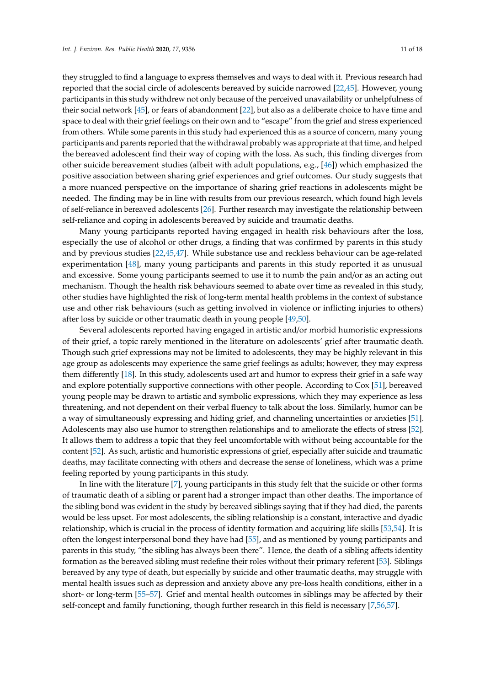they struggled to find a language to express themselves and ways to deal with it. Previous research had reported that the social circle of adolescents bereaved by suicide narrowed [\[22,](#page-14-11)[45\]](#page-15-12). However, young participants in this study withdrew not only because of the perceived unavailability or unhelpfulness of their social network [\[45\]](#page-15-12), or fears of abandonment [\[22\]](#page-14-11), but also as a deliberate choice to have time and space to deal with their grief feelings on their own and to "escape" from the grief and stress experienced from others. While some parents in this study had experienced this as a source of concern, many young participants and parents reported that the withdrawal probably was appropriate at that time, and helped the bereaved adolescent find their way of coping with the loss. As such, this finding diverges from other suicide bereavement studies (albeit with adult populations, e.g., [\[46\]](#page-15-13)) which emphasized the positive association between sharing grief experiences and grief outcomes. Our study suggests that a more nuanced perspective on the importance of sharing grief reactions in adolescents might be needed. The finding may be in line with results from our previous research, which found high levels of self-reliance in bereaved adolescents [\[26\]](#page-14-15). Further research may investigate the relationship between self-reliance and coping in adolescents bereaved by suicide and traumatic deaths.

Many young participants reported having engaged in health risk behaviours after the loss, especially the use of alcohol or other drugs, a finding that was confirmed by parents in this study and by previous studies [\[22](#page-14-11)[,45](#page-15-12)[,47\]](#page-15-14). While substance use and reckless behaviour can be age-related experimentation [\[48\]](#page-15-15), many young participants and parents in this study reported it as unusual and excessive. Some young participants seemed to use it to numb the pain and/or as an acting out mechanism. Though the health risk behaviours seemed to abate over time as revealed in this study, other studies have highlighted the risk of long-term mental health problems in the context of substance use and other risk behaviours (such as getting involved in violence or inflicting injuries to others) after loss by suicide or other traumatic death in young people [\[49](#page-15-16)[,50\]](#page-15-17).

Several adolescents reported having engaged in artistic and/or morbid humoristic expressions of their grief, a topic rarely mentioned in the literature on adolescents' grief after traumatic death. Though such grief expressions may not be limited to adolescents, they may be highly relevant in this age group as adolescents may experience the same grief feelings as adults; however, they may express them differently [\[18\]](#page-14-8). In this study, adolescents used art and humor to express their grief in a safe way and explore potentially supportive connections with other people. According to Cox [\[51\]](#page-15-18), bereaved young people may be drawn to artistic and symbolic expressions, which they may experience as less threatening, and not dependent on their verbal fluency to talk about the loss. Similarly, humor can be a way of simultaneously expressing and hiding grief, and channeling uncertainties or anxieties [\[51\]](#page-15-18). Adolescents may also use humor to strengthen relationships and to ameliorate the effects of stress [\[52\]](#page-15-19). It allows them to address a topic that they feel uncomfortable with without being accountable for the content [\[52\]](#page-15-19). As such, artistic and humoristic expressions of grief, especially after suicide and traumatic deaths, may facilitate connecting with others and decrease the sense of loneliness, which was a prime feeling reported by young participants in this study.

In line with the literature [\[7\]](#page-13-5), young participants in this study felt that the suicide or other forms of traumatic death of a sibling or parent had a stronger impact than other deaths. The importance of the sibling bond was evident in the study by bereaved siblings saying that if they had died, the parents would be less upset. For most adolescents, the sibling relationship is a constant, interactive and dyadic relationship, which is crucial in the process of identity formation and acquiring life skills [\[53](#page-15-20)[,54\]](#page-15-21). It is often the longest interpersonal bond they have had [\[55\]](#page-16-0), and as mentioned by young participants and parents in this study, "the sibling has always been there". Hence, the death of a sibling affects identity formation as the bereaved sibling must redefine their roles without their primary referent [\[53\]](#page-15-20). Siblings bereaved by any type of death, but especially by suicide and other traumatic deaths, may struggle with mental health issues such as depression and anxiety above any pre-loss health conditions, either in a short- or long-term [\[55](#page-16-0)[–57\]](#page-16-1). Grief and mental health outcomes in siblings may be affected by their self-concept and family functioning, though further research in this field is necessary [\[7,](#page-13-5)[56,](#page-16-2)[57\]](#page-16-1).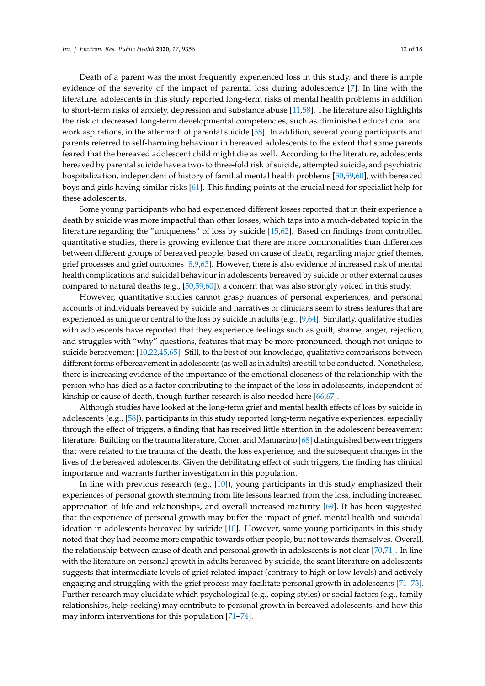Death of a parent was the most frequently experienced loss in this study, and there is ample evidence of the severity of the impact of parental loss during adolescence [\[7\]](#page-13-5). In line with the literature, adolescents in this study reported long-term risks of mental health problems in addition to short-term risks of anxiety, depression and substance abuse [\[11](#page-14-2)[,58\]](#page-16-3). The literature also highlights the risk of decreased long-term developmental competencies, such as diminished educational and work aspirations, in the aftermath of parental suicide [\[58\]](#page-16-3). In addition, several young participants and parents referred to self-harming behaviour in bereaved adolescents to the extent that some parents feared that the bereaved adolescent child might die as well. According to the literature, adolescents bereaved by parental suicide have a two- to three-fold risk of suicide, attempted suicide, and psychiatric hospitalization, independent of history of familial mental health problems [\[50,](#page-15-17)[59,](#page-16-4)[60\]](#page-16-5), with bereaved boys and girls having similar risks [\[61\]](#page-16-6). This finding points at the crucial need for specialist help for these adolescents.

Some young participants who had experienced different losses reported that in their experience a death by suicide was more impactful than other losses, which taps into a much-debated topic in the literature regarding the "uniqueness" of loss by suicide [\[15,](#page-14-6)[62\]](#page-16-7). Based on findings from controlled quantitative studies, there is growing evidence that there are more commonalities than differences between different groups of bereaved people, based on cause of death, regarding major grief themes, grief processes and grief outcomes  $[8,9,63]$  $[8,9,63]$  $[8,9,63]$ . However, there is also evidence of increased risk of mental health complications and suicidal behaviour in adolescents bereaved by suicide or other external causes compared to natural deaths (e.g., [\[50](#page-15-17)[,59,](#page-16-4)[60\]](#page-16-5)), a concern that was also strongly voiced in this study.

However, quantitative studies cannot grasp nuances of personal experiences, and personal accounts of individuals bereaved by suicide and narratives of clinicians seem to stress features that are experienced as unique or central to the loss by suicide in adults (e.g., [\[9](#page-14-0)[,64\]](#page-16-9). Similarly, qualitative studies with adolescents have reported that they experience feelings such as guilt, shame, anger, rejection, and struggles with "why" questions, features that may be more pronounced, though not unique to suicide bereavement [\[10,](#page-14-1)[22,](#page-14-11)[45,](#page-15-12)[65\]](#page-16-10). Still, to the best of our knowledge, qualitative comparisons between different forms of bereavement in adolescents (as well as in adults) are still to be conducted. Nonetheless, there is increasing evidence of the importance of the emotional closeness of the relationship with the person who has died as a factor contributing to the impact of the loss in adolescents, independent of kinship or cause of death, though further research is also needed here [\[66,](#page-16-11)[67\]](#page-16-12).

Although studies have looked at the long-term grief and mental health effects of loss by suicide in adolescents (e.g., [\[58\]](#page-16-3)), participants in this study reported long-term negative experiences, especially through the effect of triggers, a finding that has received little attention in the adolescent bereavement literature. Building on the trauma literature, Cohen and Mannarino [\[68\]](#page-16-13) distinguished between triggers that were related to the trauma of the death, the loss experience, and the subsequent changes in the lives of the bereaved adolescents. Given the debilitating effect of such triggers, the finding has clinical importance and warrants further investigation in this population.

In line with previous research (e.g., [\[10\]](#page-14-1)), young participants in this study emphasized their experiences of personal growth stemming from life lessons learned from the loss, including increased appreciation of life and relationships, and overall increased maturity [\[69\]](#page-16-14). It has been suggested that the experience of personal growth may buffer the impact of grief, mental health and suicidal ideation in adolescents bereaved by suicide [\[10\]](#page-14-1). However, some young participants in this study noted that they had become more empathic towards other people, but not towards themselves. Overall, the relationship between cause of death and personal growth in adolescents is not clear [\[70,](#page-16-15)[71\]](#page-16-16). In line with the literature on personal growth in adults bereaved by suicide, the scant literature on adolescents suggests that intermediate levels of grief-related impact (contrary to high or low levels) and actively engaging and struggling with the grief process may facilitate personal growth in adolescents [\[71–](#page-16-16)[73\]](#page-16-17). Further research may elucidate which psychological (e.g., coping styles) or social factors (e.g., family relationships, help-seeking) may contribute to personal growth in bereaved adolescents, and how this may inform interventions for this population [\[71](#page-16-16)[–74\]](#page-16-18).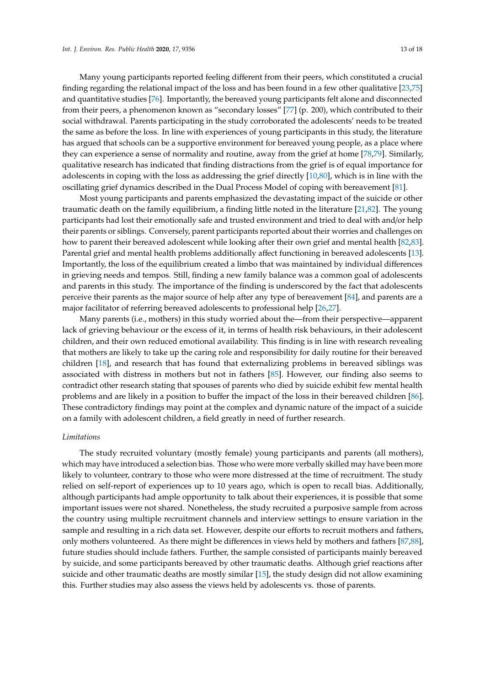Many young participants reported feeling different from their peers, which constituted a crucial finding regarding the relational impact of the loss and has been found in a few other qualitative [\[23,](#page-14-12)[75\]](#page-16-19) and quantitative studies [\[76\]](#page-16-20). Importantly, the bereaved young participants felt alone and disconnected from their peers, a phenomenon known as "secondary losses" [\[77\]](#page-16-21) (p. 200), which contributed to their social withdrawal. Parents participating in the study corroborated the adolescents' needs to be treated the same as before the loss. In line with experiences of young participants in this study, the literature has argued that schools can be a supportive environment for bereaved young people, as a place where they can experience a sense of normality and routine, away from the grief at home [\[78](#page-17-0)[,79\]](#page-17-1). Similarly, qualitative research has indicated that finding distractions from the grief is of equal importance for adolescents in coping with the loss as addressing the grief directly [\[10](#page-14-1)[,80\]](#page-17-2), which is in line with the oscillating grief dynamics described in the Dual Process Model of coping with bereavement [\[81\]](#page-17-3).

Most young participants and parents emphasized the devastating impact of the suicide or other traumatic death on the family equilibrium, a finding little noted in the literature [\[21,](#page-14-10)[82\]](#page-17-4). The young participants had lost their emotionally safe and trusted environment and tried to deal with and/or help their parents or siblings. Conversely, parent participants reported about their worries and challenges on how to parent their bereaved adolescent while looking after their own grief and mental health [\[82](#page-17-4)[,83\]](#page-17-5). Parental grief and mental health problems additionally affect functioning in bereaved adolescents [\[13\]](#page-14-4). Importantly, the loss of the equilibrium created a limbo that was maintained by individual differences in grieving needs and tempos. Still, finding a new family balance was a common goal of adolescents and parents in this study. The importance of the finding is underscored by the fact that adolescents perceive their parents as the major source of help after any type of bereavement [\[84\]](#page-17-6), and parents are a major facilitator of referring bereaved adolescents to professional help [\[26](#page-14-15)[,27\]](#page-14-16).

Many parents (i.e., mothers) in this study worried about the—from their perspective—apparent lack of grieving behaviour or the excess of it, in terms of health risk behaviours, in their adolescent children, and their own reduced emotional availability. This finding is in line with research revealing that mothers are likely to take up the caring role and responsibility for daily routine for their bereaved children [\[18\]](#page-14-8), and research that has found that externalizing problems in bereaved siblings was associated with distress in mothers but not in fathers [\[85\]](#page-17-7). However, our finding also seems to contradict other research stating that spouses of parents who died by suicide exhibit few mental health problems and are likely in a position to buffer the impact of the loss in their bereaved children [\[86\]](#page-17-8). These contradictory findings may point at the complex and dynamic nature of the impact of a suicide on a family with adolescent children, a field greatly in need of further research.

## *Limitations*

The study recruited voluntary (mostly female) young participants and parents (all mothers), which may have introduced a selection bias. Those who were more verbally skilled may have been more likely to volunteer, contrary to those who were more distressed at the time of recruitment. The study relied on self-report of experiences up to 10 years ago, which is open to recall bias. Additionally, although participants had ample opportunity to talk about their experiences, it is possible that some important issues were not shared. Nonetheless, the study recruited a purposive sample from across the country using multiple recruitment channels and interview settings to ensure variation in the sample and resulting in a rich data set. However, despite our efforts to recruit mothers and fathers, only mothers volunteered. As there might be differences in views held by mothers and fathers [\[87](#page-17-9)[,88\]](#page-17-10), future studies should include fathers. Further, the sample consisted of participants mainly bereaved by suicide, and some participants bereaved by other traumatic deaths. Although grief reactions after suicide and other traumatic deaths are mostly similar [\[15\]](#page-14-6), the study design did not allow examining this. Further studies may also assess the views held by adolescents vs. those of parents.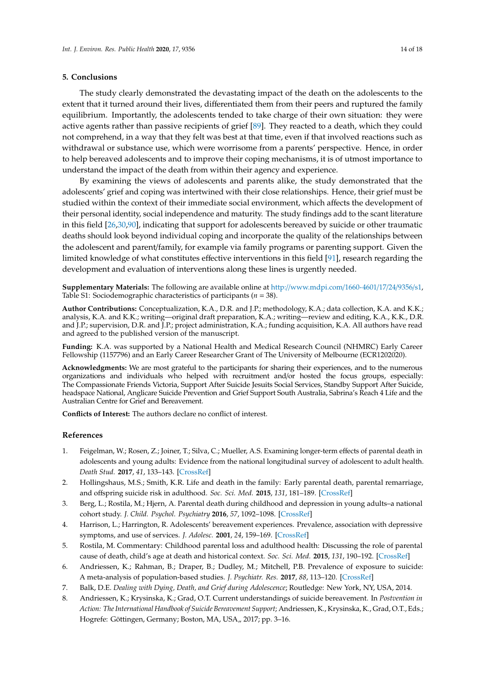## **5. Conclusions**

The study clearly demonstrated the devastating impact of the death on the adolescents to the extent that it turned around their lives, differentiated them from their peers and ruptured the family equilibrium. Importantly, the adolescents tended to take charge of their own situation: they were active agents rather than passive recipients of grief [\[89\]](#page-17-11). They reacted to a death, which they could not comprehend, in a way that they felt was best at that time, even if that involved reactions such as withdrawal or substance use, which were worrisome from a parents' perspective. Hence, in order to help bereaved adolescents and to improve their coping mechanisms, it is of utmost importance to understand the impact of the death from within their agency and experience.

By examining the views of adolescents and parents alike, the study demonstrated that the adolescents' grief and coping was intertwined with their close relationships. Hence, their grief must be studied within the context of their immediate social environment, which affects the development of their personal identity, social independence and maturity. The study findings add to the scant literature in this field [\[26,](#page-14-15)[30](#page-14-18)[,90\]](#page-17-12), indicating that support for adolescents bereaved by suicide or other traumatic deaths should look beyond individual coping and incorporate the quality of the relationships between the adolescent and parent/family, for example via family programs or parenting support. Given the limited knowledge of what constitutes effective interventions in this field [\[91\]](#page-17-13), research regarding the development and evaluation of interventions along these lines is urgently needed.

**Supplementary Materials:** The following are available online at http://[www.mdpi.com](http://www.mdpi.com/1660-4601/17/24/9356/s1)/1660-4601/17/24/9356/s1, Table S1: Sociodemographic characteristics of participants (*n* = 38).

**Author Contributions:** Conceptualization, K.A., D.R. and J.P.; methodology, K.A.; data collection, K.A. and K.K.; analysis, K.A. and K.K.; writing—original draft preparation, K.A.; writing—review and editing, K.A., K.K., D.R. and J.P.; supervision, D.R. and J.P.; project administration, K.A.; funding acquisition, K.A. All authors have read and agreed to the published version of the manuscript.

**Funding:** K.A. was supported by a National Health and Medical Research Council (NHMRC) Early Career Fellowship (1157796) and an Early Career Researcher Grant of The University of Melbourne (ECR1202020).

**Acknowledgments:** We are most grateful to the participants for sharing their experiences, and to the numerous organizations and individuals who helped with recruitment and/or hosted the focus groups, especially: The Compassionate Friends Victoria, Support After Suicide Jesuits Social Services, Standby Support After Suicide, headspace National, Anglicare Suicide Prevention and Grief Support South Australia, Sabrina's Reach 4 Life and the Australian Centre for Grief and Bereavement.

**Conflicts of Interest:** The authors declare no conflict of interest.

#### **References**

- <span id="page-13-0"></span>1. Feigelman, W.; Rosen, Z.; Joiner, T.; Silva, C.; Mueller, A.S. Examining longer-term effects of parental death in adolescents and young adults: Evidence from the national longitudinal survey of adolescent to adult health. *Death Stud.* **2017**, *41*, 133–143. [\[CrossRef\]](http://dx.doi.org/10.1080/07481187.2016.1226990)
- <span id="page-13-1"></span>2. Hollingshaus, M.S.; Smith, K.R. Life and death in the family: Early parental death, parental remarriage, and offspring suicide risk in adulthood. *Soc. Sci. Med.* **2015**, *131*, 181–189. [\[CrossRef\]](http://dx.doi.org/10.1016/j.socscimed.2015.02.008)
- <span id="page-13-2"></span>3. Berg, L.; Rostila, M.; Hjern, A. Parental death during childhood and depression in young adults–a national cohort study. *J. Child. Psychol. Psychiatry* **2016**, *57*, 1092–1098. [\[CrossRef\]](http://dx.doi.org/10.1111/jcpp.12560)
- <span id="page-13-7"></span>4. Harrison, L.; Harrington, R. Adolescents' bereavement experiences. Prevalence, association with depressive symptoms, and use of services. *J. Adolesc.* **2001**, *24*, 159–169. [\[CrossRef\]](http://dx.doi.org/10.1006/jado.2001.0379)
- <span id="page-13-3"></span>5. Rostila, M. Commentary: Childhood parental loss and adulthood health: Discussing the role of parental cause of death, child's age at death and historical context. *Soc. Sci. Med.* **2015**, *131*, 190–192. [\[CrossRef\]](http://dx.doi.org/10.1016/j.socscimed.2015.03.012)
- <span id="page-13-4"></span>6. Andriessen, K.; Rahman, B.; Draper, B.; Dudley, M.; Mitchell, P.B. Prevalence of exposure to suicide: A meta-analysis of population-based studies. *J. Psychiatr. Res.* **2017**, *88*, 113–120. [\[CrossRef\]](http://dx.doi.org/10.1016/j.jpsychires.2017.01.017)
- <span id="page-13-6"></span><span id="page-13-5"></span>7. Balk, D.E. *Dealing with Dying, Death, and Grief during Adolescence*; Routledge: New York, NY, USA, 2014.
- 8. Andriessen, K.; Krysinska, K.; Grad, O.T. Current understandings of suicide bereavement. In *Postvention in Action: The International Handbook of Suicide Bereavement Support*; Andriessen, K., Krysinska, K., Grad, O.T., Eds.; Hogrefe: Göttingen, Germany; Boston, MA, USA,, 2017; pp. 3-16.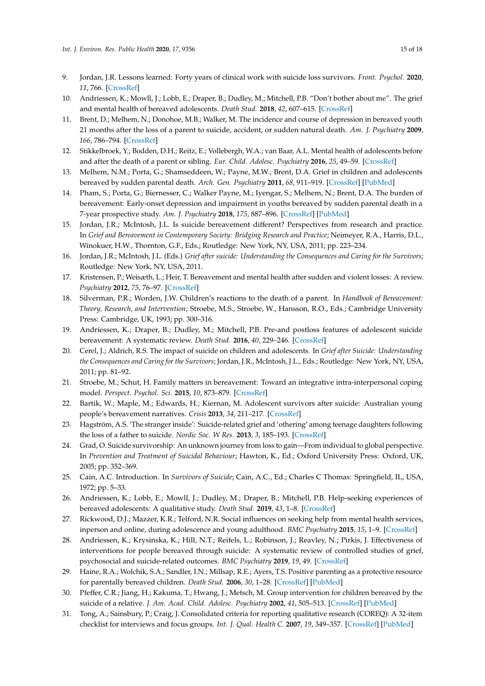- <span id="page-14-0"></span>9. Jordan, J.R. Lessons learned: Forty years of clinical work with suicide loss survivors. *Front. Psychol.* **2020**, *11*, 766. [\[CrossRef\]](http://dx.doi.org/10.3389/fpsyg.2020.00766)
- <span id="page-14-1"></span>10. Andriessen, K.; Mowll, J.; Lobb, E.; Draper, B.; Dudley, M.; Mitchell, P.B. "Don't bother about me". The grief and mental health of bereaved adolescents. *Death Stud.* **2018**, *42*, 607–615. [\[CrossRef\]](http://dx.doi.org/10.1080/07481187.2017.1415393)
- <span id="page-14-2"></span>11. Brent, D.; Melhem, N.; Donohoe, M.B.; Walker, M. The incidence and course of depression in bereaved youth 21 months after the loss of a parent to suicide, accident, or sudden natural death. *Am. J. Psychiatry* **2009**, *166*, 786–794. [\[CrossRef\]](http://dx.doi.org/10.1176/appi.ajp.2009.08081244)
- <span id="page-14-3"></span>12. Stikkelbroek, Y.; Bodden, D.H.; Reitz, E.; Vollebergh, W.A.; van Baar, A.L. Mental health of adolescents before and after the death of a parent or sibling. *Eur. Child. Adolesc. Psychiatry* **2016**, *25*, 49–59. [\[CrossRef\]](http://dx.doi.org/10.1007/s00787-015-0695-3)
- <span id="page-14-4"></span>13. Melhem, N.M.; Porta, G.; Shamseddeen, W.; Payne, M.W.; Brent, D.A. Grief in children and adolescents bereaved by sudden parental death. *Arch. Gen. Psychiatry* **2011**, *68*, 911–919. [\[CrossRef\]](http://dx.doi.org/10.1001/archgenpsychiatry.2011.101) [\[PubMed\]](http://www.ncbi.nlm.nih.gov/pubmed/21893658)
- <span id="page-14-5"></span>14. Pham, S.; Porta, G.; Biernesser, C.; Walker Payne, M.; Iyengar, S.; Melhem, N.; Brent, D.A. The burden of bereavement: Early-onset depression and impairment in youths bereaved by sudden parental death in a 7-year prospective study. *Am. J. Psychiatry* **2018**, *175*, 887–896. [\[CrossRef\]](http://dx.doi.org/10.1176/appi.ajp.2018.17070792) [\[PubMed\]](http://www.ncbi.nlm.nih.gov/pubmed/29921145)
- <span id="page-14-6"></span>15. Jordan, J.R.; McIntosh, J.L. Is suicide bereavement different? Perspectives from research and practice. In *Grief and Bereavement in Contemporary Society: Bridging Research and Practice*; Neimeyer, R.A., Harris, D.L., Winokuer, H.W., Thornton, G.F., Eds.; Routledge: New York, NY, USA, 2011; pp. 223–234.
- 16. Jordan, J.R.; McIntosh, J.L. (Eds.) *Grief after suicide: Understanding the Consequences and Caring for the Survivors*; Routledge: New York, NY, USA, 2011.
- <span id="page-14-7"></span>17. Kristensen, P.; Weisæth, L.; Heir, T. Bereavement and mental health after sudden and violent losses: A review. *Psychiatry* **2012**, *75*, 76–97. [\[CrossRef\]](http://dx.doi.org/10.1521/psyc.2012.75.1.76)
- <span id="page-14-8"></span>18. Silverman, P.R.; Worden, J.W. Children's reactions to the death of a parent. In *Handbook of Bereavement: Theory, Research, and Intervention*; Stroebe, M.S., Stroebe, W., Hansson, R.O., Eds.; Cambridge University Press: Cambridge, UK, 1993; pp. 300–316.
- <span id="page-14-9"></span>19. Andriessen, K.; Draper, B.; Dudley, M.; Mitchell, P.B. Pre-and postloss features of adolescent suicide bereavement: A systematic review. *Death Stud.* **2016**, *40*, 229–246. [\[CrossRef\]](http://dx.doi.org/10.1080/07481187.2015.1128497)
- <span id="page-14-20"></span>20. Cerel, J.; Aldrich, R.S. The impact of suicide on children and adolescents. In *Grief after Suicide: Understanding the Consequences and Caring for the Survivors*; Jordan, J.R., McIntosh, J.L., Eds.; Routledge: New York, NY, USA, 2011; pp. 81–92.
- <span id="page-14-10"></span>21. Stroebe, M.; Schut, H. Family matters in bereavement: Toward an integrative intra-interpersonal coping model. *Perspect. Psychol. Sci.* **2015**, *10*, 873–879. [\[CrossRef\]](http://dx.doi.org/10.1177/1745691615598517)
- <span id="page-14-11"></span>22. Bartik, W.; Maple, M.; Edwards, H.; Kiernan, M. Adolescent survivors after suicide: Australian young people's bereavement narratives. *Crisis* **2013**, *34*, 211–217. [\[CrossRef\]](http://dx.doi.org/10.1027/0227-5910/a000185)
- <span id="page-14-12"></span>23. Hagström, A.S. 'The stranger inside': Suicide-related grief and 'othering' among teenage daughters following the loss of a father to suicide. *Nordic Soc. W Res.* **2013**, *3*, 185–193. [\[CrossRef\]](http://dx.doi.org/10.1080/2156857X.2013.801877)
- <span id="page-14-13"></span>24. Grad, O. Suicide survivorship: An unknown journey from loss to gain—From individual to global perspective. In *Prevention and Treatment of Suicidal Behaviour*; Hawton, K., Ed.; Oxford University Press: Oxford, UK, 2005; pp. 352–369.
- <span id="page-14-14"></span>25. Cain, A.C. Introduction. In *Survivors of Suicide*; Cain, A.C., Ed.; Charles C Thomas: Springfield, IL, USA, 1972; pp. 5–33.
- <span id="page-14-15"></span>26. Andriessen, K.; Lobb, E.; Mowll, J.; Dudley, M.; Draper, B.; Mitchell, P.B. Help-seeking experiences of bereaved adolescents: A qualitative study. *Death Stud.* **2019**, *43*, 1–8. [\[CrossRef\]](http://dx.doi.org/10.1080/07481187.2018.1426657)
- <span id="page-14-16"></span>27. Rickwood, D.J.; Mazzer, K.R.; Telford, N.R. Social influences on seeking help from mental health services, inperson and online, during adolescence and young adulthood. *BMC Psychiatry* **2015**, *15*, 1–9. [\[CrossRef\]](http://dx.doi.org/10.1186/s12888-015-0429-6)
- <span id="page-14-17"></span>28. Andriessen, K.; Krysinska, K.; Hill, N.T.; Reifels, L.; Robinson, J.; Reavley, N.; Pirkis, J. Effectiveness of interventions for people bereaved through suicide: A systematic review of controlled studies of grief, psychosocial and suicide-related outcomes. *BMC Psychiatry* **2019**, *19*, 49. [\[CrossRef\]](http://dx.doi.org/10.1186/s12888-019-2020-z)
- 29. Haine, R.A.; Wolchik, S.A.; Sandler, I.N.; Millsap, R.E.; Ayers, T.S. Positive parenting as a protective resource for parentally bereaved children. *Death Stud.* **2006**, *30*, 1–28. [\[CrossRef\]](http://dx.doi.org/10.1080/07481180500348639) [\[PubMed\]](http://www.ncbi.nlm.nih.gov/pubmed/16296557)
- <span id="page-14-18"></span>30. Pfeffer, C.R.; Jiang, H.; Kakuma, T.; Hwang, J.; Metsch, M. Group intervention for children bereaved by the suicide of a relative. *J. Am. Acad. Child. Adolesc. Psychiatry* **2002**, *41*, 505–513. [\[CrossRef\]](http://dx.doi.org/10.1097/00004583-200205000-00007) [\[PubMed\]](http://www.ncbi.nlm.nih.gov/pubmed/12014782)
- <span id="page-14-19"></span>31. Tong, A.; Sainsbury, P.; Craig, J. Consolidated criteria for reporting qualitative research (COREQ): A 32-item checklist for interviews and focus groups. *Int. J. Qual. Health C.* **2007**, *19*, 349–357. [\[CrossRef\]](http://dx.doi.org/10.1093/intqhc/mzm042) [\[PubMed\]](http://www.ncbi.nlm.nih.gov/pubmed/17872937)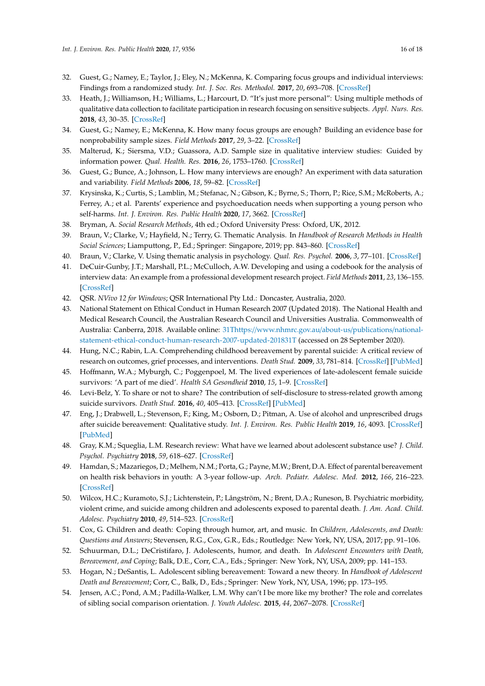- <span id="page-15-0"></span>32. Guest, G.; Namey, E.; Taylor, J.; Eley, N.; McKenna, K. Comparing focus groups and individual interviews: Findings from a randomized study. *Int. J. Soc. Res. Methodol.* **2017**, *20*, 693–708. [\[CrossRef\]](http://dx.doi.org/10.1080/13645579.2017.1281601)
- <span id="page-15-1"></span>33. Heath, J.; Williamson, H.; Williams, L.; Harcourt, D. "It's just more personal": Using multiple methods of qualitative data collection to facilitate participation in research focusing on sensitive subjects. *Appl. Nurs. Res.* **2018**, *43*, 30–35. [\[CrossRef\]](http://dx.doi.org/10.1016/j.apnr.2018.06.015)
- <span id="page-15-2"></span>34. Guest, G.; Namey, E.; McKenna, K. How many focus groups are enough? Building an evidence base for nonprobability sample sizes. *Field Methods* **2017**, *29*, 3–22. [\[CrossRef\]](http://dx.doi.org/10.1177/1525822X16639015)
- 35. Malterud, K.; Siersma, V.D.; Guassora, A.D. Sample size in qualitative interview studies: Guided by information power. *Qual. Health. Res.* **2016**, *26*, 1753–1760. [\[CrossRef\]](http://dx.doi.org/10.1177/1049732315617444)
- <span id="page-15-3"></span>36. Guest, G.; Bunce, A.; Johnson, L. How many interviews are enough? An experiment with data saturation and variability. *Field Methods* **2006**, *18*, 59–82. [\[CrossRef\]](http://dx.doi.org/10.1177/1525822X05279903)
- <span id="page-15-4"></span>37. Krysinska, K.; Curtis, S.; Lamblin, M.; Stefanac, N.; Gibson, K.; Byrne, S.; Thorn, P.; Rice, S.M.; McRoberts, A.; Ferrey, A.; et al. Parents' experience and psychoeducation needs when supporting a young person who self-harms. *Int. J. Environ. Res. Public Health* **2020**, *17*, 3662. [\[CrossRef\]](http://dx.doi.org/10.3390/ijerph17103662)
- <span id="page-15-5"></span>38. Bryman, A. *Social Research Methods*, 4th ed.; Oxford University Press: Oxford, UK, 2012.
- <span id="page-15-6"></span>39. Braun, V.; Clarke, V.; Hayfield, N.; Terry, G. Thematic Analysis. In *Handbook of Research Methods in Health Social Sciences*; Liamputtong, P., Ed.; Springer: Singapore, 2019; pp. 843–860. [\[CrossRef\]](http://dx.doi.org/10.1007/978-981-10-5251-4_10331T)
- <span id="page-15-8"></span><span id="page-15-7"></span>40. Braun, V.; Clarke, V. Using thematic analysis in psychology. *Qual. Res. Psychol.* **2006**, *3*, 77–101. [\[CrossRef\]](http://dx.doi.org/10.1191/1478088706qp063oa)
- 41. DeCuir-Gunby, J.T.; Marshall, P.L.; McCulloch, A.W. Developing and using a codebook for the analysis of interview data: An example from a professional development research project. *Field Methods* **2011**, *23*, 136–155. [\[CrossRef\]](http://dx.doi.org/10.1177/1525822X10388468)
- <span id="page-15-9"></span>42. QSR. *NVivo 12 for Windows*; QSR International Pty Ltd.: Doncaster, Australia, 2020.
- <span id="page-15-10"></span>43. National Statement on Ethical Conduct in Human Research 2007 (Updated 2018). The National Health and Medical Research Council, the Australian Research Council and Universities Australia. Commonwealth of Australia: Canberra, 2018. Available online: 31Thttps://[www.nhmrc.gov.au](31Thttps://www.nhmrc.gov.au/about-us/publications/national-statement-ethical-conduct-human-research-2007-updated-201831T)/about-us/publications/national[statement-ethical-conduct-human-research-2007-updated-201831T](31Thttps://www.nhmrc.gov.au/about-us/publications/national-statement-ethical-conduct-human-research-2007-updated-201831T) (accessed on 28 September 2020).
- <span id="page-15-11"></span>44. Hung, N.C.; Rabin, L.A. Comprehending childhood bereavement by parental suicide: A critical review of research on outcomes, grief processes, and interventions. *Death Stud.* **2009**, *33*, 781–814. [\[CrossRef\]](http://dx.doi.org/10.1080/07481180903142357) [\[PubMed\]](http://www.ncbi.nlm.nih.gov/pubmed/19798803)
- <span id="page-15-12"></span>45. Hoffmann, W.A.; Myburgh, C.; Poggenpoel, M. The lived experiences of late-adolescent female suicide survivors: 'A part of me died'. *Health SA Gesondheid* **2010**, *15*, 1–9. [\[CrossRef\]](http://dx.doi.org/10.4102/hsag.v15i1.493)
- <span id="page-15-13"></span>46. Levi-Belz, Y. To share or not to share? The contribution of self-disclosure to stress-related growth among suicide survivors. *Death Stud.* **2016**, *40*, 405–413. [\[CrossRef\]](http://dx.doi.org/10.1080/07481187.2016.1160164) [\[PubMed\]](http://www.ncbi.nlm.nih.gov/pubmed/26963136)
- <span id="page-15-14"></span>47. Eng, J.; Drabwell, L.; Stevenson, F.; King, M.; Osborn, D.; Pitman, A. Use of alcohol and unprescribed drugs after suicide bereavement: Qualitative study. *Int. J. Environ. Res. Public Health* **2019**, *16*, 4093. [\[CrossRef\]](http://dx.doi.org/10.3390/ijerph16214093) [\[PubMed\]](http://www.ncbi.nlm.nih.gov/pubmed/31652934)
- <span id="page-15-15"></span>48. Gray, K.M.; Squeglia, L.M. Research review: What have we learned about adolescent substance use? *J. Child. Psychol. Psychiatry* **2018**, *59*, 618–627. [\[CrossRef\]](http://dx.doi.org/10.1111/jcpp.12783)
- <span id="page-15-16"></span>49. Hamdan, S.; Mazariegos, D.; Melhem, N.M.; Porta, G.; Payne, M.W.; Brent, D.A. Effect of parental bereavement on health risk behaviors in youth: A 3-year follow-up. *Arch. Pediatr. Adolesc. Med.* **2012**, *166*, 216–223. [\[CrossRef\]](http://dx.doi.org/10.1001/archpediatrics.2011.682)
- <span id="page-15-17"></span>50. Wilcox, H.C.; Kuramoto, S.J.; Lichtenstein, P.; Långström, N.; Brent, D.A.; Runeson, B. Psychiatric morbidity, violent crime, and suicide among children and adolescents exposed to parental death. *J. Am. Acad. Child. Adolesc. Psychiatry* **2010**, *49*, 514–523. [\[CrossRef\]](http://dx.doi.org/10.1016/j.jaac.2010.01.02031T)
- <span id="page-15-18"></span>51. Cox, G. Children and death: Coping through humor, art, and music. In *Children, Adolescents, and Death: Questions and Answers*; Stevensen, R.G., Cox, G.R., Eds.; Routledge: New York, NY, USA, 2017; pp. 91–106.
- <span id="page-15-19"></span>52. Schuurman, D.L.; DeCristifaro, J. Adolescents, humor, and death. In *Adolescent Encounters with Death, Bereavement, and Coping*; Balk, D.E., Corr, C.A., Eds.; Springer: New York, NY, USA, 2009; pp. 141–153.
- <span id="page-15-20"></span>53. Hogan, N.; DeSantis, L. Adolescent sibling bereavement: Toward a new theory. In *Handbook of Adolescent Death and Bereavement*; Corr, C., Balk, D., Eds.; Springer: New York, NY, USA, 1996; pp. 173–195.
- <span id="page-15-21"></span>54. Jensen, A.C.; Pond, A.M.; Padilla-Walker, L.M. Why can't I be more like my brother? The role and correlates of sibling social comparison orientation. *J. Youth Adolesc.* **2015**, *44*, 2067–2078. [\[CrossRef\]](http://dx.doi.org/10.1007/s10964-015-0327-8)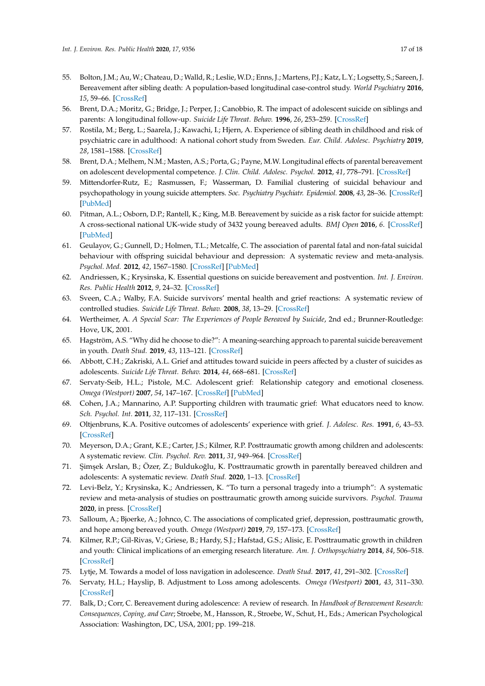- <span id="page-16-0"></span>55. Bolton, J.M.; Au, W.; Chateau, D.; Walld, R.; Leslie, W.D.; Enns, J.; Martens, P.J.; Katz, L.Y.; Logsetty, S.; Sareen, J. Bereavement after sibling death: A population-based longitudinal case-control study. *World Psychiatry* **2016**, *15*, 59–66. [\[CrossRef\]](http://dx.doi.org/10.1002/wps.20293)
- <span id="page-16-2"></span>56. Brent, D.A.; Moritz, G.; Bridge, J.; Perper, J.; Canobbio, R. The impact of adolescent suicide on siblings and parents: A longitudinal follow-up. *Suicide Life Threat. Behav.* **1996**, *26*, 253–259. [\[CrossRef\]](http://dx.doi.org/10.1111/j.1943-278X.1996.tb00610.x31T)
- <span id="page-16-1"></span>57. Rostila, M.; Berg, L.; Saarela, J.; Kawachi, I.; Hjern, A. Experience of sibling death in childhood and risk of psychiatric care in adulthood: A national cohort study from Sweden. *Eur. Child. Adolesc. Psychiatry* **2019**, *28*, 1581–1588. [\[CrossRef\]](http://dx.doi.org/10.1007/s00787-019-01324-6)
- <span id="page-16-3"></span>58. Brent, D.A.; Melhem, N.M.; Masten, A.S.; Porta, G.; Payne, M.W. Longitudinal effects of parental bereavement on adolescent developmental competence. *J. Clin. Child. Adolesc. Psychol.* **2012**, *41*, 778–791. [\[CrossRef\]](http://dx.doi.org/10.1080/15374416.2012.717871)
- <span id="page-16-4"></span>59. Mittendorfer-Rutz, E.; Rasmussen, F.; Wasserman, D. Familial clustering of suicidal behaviour and psychopathology in young suicide attempters. *Soc. Psychiatry Psychiatr. Epidemiol.* **2008**, *43*, 28–36. [\[CrossRef\]](http://dx.doi.org/10.1007/s00127-007-0266-0) [\[PubMed\]](http://www.ncbi.nlm.nih.gov/pubmed/17934681)
- <span id="page-16-5"></span>60. Pitman, A.L.; Osborn, D.P.; Rantell, K.; King, M.B. Bereavement by suicide as a risk factor for suicide attempt: A cross-sectional national UK-wide study of 3432 young bereaved adults. *BMJ Open* **2016**, *6*. [\[CrossRef\]](http://dx.doi.org/10.1136/bmjopen-2015-009948) [\[PubMed\]](http://www.ncbi.nlm.nih.gov/pubmed/26813968)
- <span id="page-16-6"></span>61. Geulayov, G.; Gunnell, D.; Holmen, T.L.; Metcalfe, C. The association of parental fatal and non-fatal suicidal behaviour with offspring suicidal behaviour and depression: A systematic review and meta-analysis. *Psychol. Med.* **2012**, *42*, 1567–1580. [\[CrossRef\]](http://dx.doi.org/10.1017/S0033291711002753) [\[PubMed\]](http://www.ncbi.nlm.nih.gov/pubmed/22129460)
- <span id="page-16-7"></span>62. Andriessen, K.; Krysinska, K. Essential questions on suicide bereavement and postvention. *Int. J. Environ. Res. Public Health* **2012**, *9*, 24–32. [\[CrossRef\]](http://dx.doi.org/10.3390/ijerph9010024)
- <span id="page-16-8"></span>63. Sveen, C.A.; Walby, F.A. Suicide survivors' mental health and grief reactions: A systematic review of controlled studies. *Suicide Life Threat. Behav.* **2008**, *38*, 13–29. [\[CrossRef\]](http://dx.doi.org/10.1521/suli.2008.38.1.13)
- <span id="page-16-9"></span>64. Wertheimer, A. *A Special Scar: The Experiences of People Bereaved by Suicide*, 2nd ed.; Brunner-Routledge: Hove, UK, 2001.
- <span id="page-16-10"></span>65. Hagström, A.S. "Why did he choose to die?": A meaning-searching approach to parental suicide bereavement in youth. *Death Stud.* **2019**, *43*, 113–121. [\[CrossRef\]](http://dx.doi.org/10.1080/07481187.2018.1457604)
- <span id="page-16-11"></span>66. Abbott, C.H.; Zakriski, A.L. Grief and attitudes toward suicide in peers affected by a cluster of suicides as adolescents. *Suicide Life Threat. Behav.* **2014**, *44*, 668–681. [\[CrossRef\]](http://dx.doi.org/10.1111/sltb.12100)
- <span id="page-16-12"></span>67. Servaty-Seib, H.L.; Pistole, M.C. Adolescent grief: Relationship category and emotional closeness. *Omega (Westport)* **2007**, *54*, 147–167. [\[CrossRef\]](http://dx.doi.org/10.2190/M002-1541-JP28-4673) [\[PubMed\]](http://www.ncbi.nlm.nih.gov/pubmed/17876967)
- <span id="page-16-13"></span>68. Cohen, J.A.; Mannarino, A.P. Supporting children with traumatic grief: What educators need to know. *Sch. Psychol. Int.* **2011**, *32*, 117–131. [\[CrossRef\]](http://dx.doi.org/10.1177/0143034311400827)
- <span id="page-16-14"></span>69. Oltjenbruns, K.A. Positive outcomes of adolescents' experience with grief. *J. Adolesc. Res.* **1991**, *6*, 43–53. [\[CrossRef\]](http://dx.doi.org/10.1177/074355489161004)
- <span id="page-16-15"></span>70. Meyerson, D.A.; Grant, K.E.; Carter, J.S.; Kilmer, R.P. Posttraumatic growth among children and adolescents: A systematic review. *Clin. Psychol. Rev.* **2011**, *31*, 949–964. [\[CrossRef\]](http://dx.doi.org/10.1016/j.cpr.2011.06.003)
- <span id="page-16-16"></span>71. Şimşek Arslan, B.; Özer, Z.; Buldukoğlu, K. Posttraumatic growth in parentally bereaved children and adolescents: A systematic review. *Death Stud.* **2020**, 1–13. [\[CrossRef\]](http://dx.doi.org/10.1080/07481187.2020.1716886)
- 72. Levi-Belz, Y.; Krysinska, K.; Andriessen, K. "To turn a personal tragedy into a triumph": A systematic review and meta-analysis of studies on posttraumatic growth among suicide survivors. *Psychol. Trauma* **2020**, in press. [\[CrossRef\]](http://dx.doi.org/10.1037/tra0000977)
- <span id="page-16-17"></span>73. Salloum, A.; Bjoerke, A.; Johnco, C. The associations of complicated grief, depression, posttraumatic growth, and hope among bereaved youth. *Omega (Westport)* **2019**, *79*, 157–173. [\[CrossRef\]](http://dx.doi.org/10.1177/0030222817719805)
- <span id="page-16-18"></span>74. Kilmer, R.P.; Gil-Rivas, V.; Griese, B.; Hardy, S.J.; Hafstad, G.S.; Alisic, E. Posttraumatic growth in children and youth: Clinical implications of an emerging research literature. *Am. J. Orthopsychiatry* **2014**, *84*, 506–518. [\[CrossRef\]](http://dx.doi.org/10.1037/ort0000016)
- <span id="page-16-19"></span>75. Lytje, M. Towards a model of loss navigation in adolescence. *Death Stud.* **2017**, *41*, 291–302. [\[CrossRef\]](http://dx.doi.org/10.1080/07481187.2016.1276488)
- <span id="page-16-20"></span>76. Servaty, H.L.; Hayslip, B. Adjustment to Loss among adolescents. *Omega (Westport)* **2001**, *43*, 311–330. [\[CrossRef\]](http://dx.doi.org/10.2190/B9MH-UU5H-9CG2-RAW6)
- <span id="page-16-21"></span>77. Balk, D.; Corr, C. Bereavement during adolescence: A review of research. In *Handbook of Bereavement Research: Consequences, Coping, and Care*; Stroebe, M., Hansson, R., Stroebe, W., Schut, H., Eds.; American Psychological Association: Washington, DC, USA, 2001; pp. 199–218.